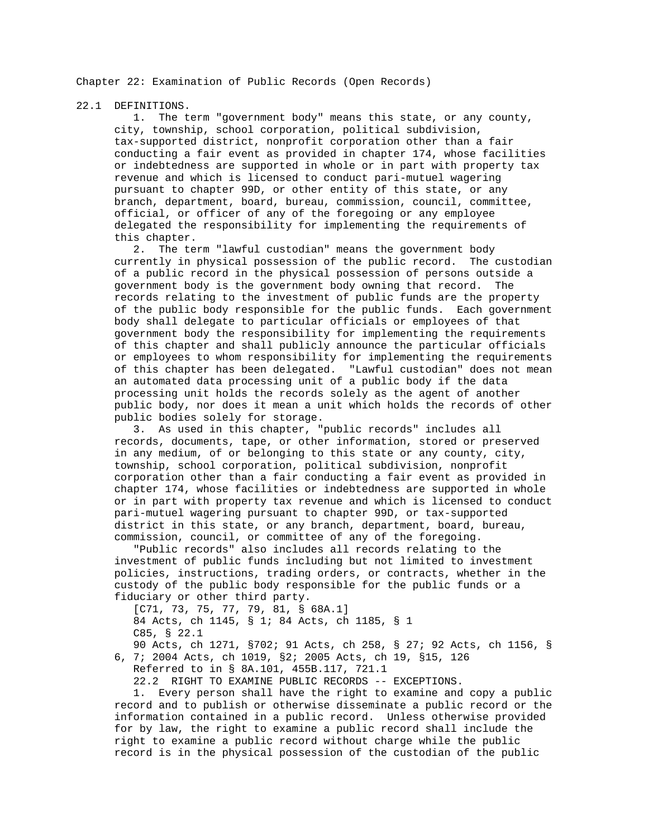Chapter 22: Examination of Public Records (Open Records)

22.1 DEFINITIONS.

 1. The term "government body" means this state, or any county, city, township, school corporation, political subdivision, tax-supported district, nonprofit corporation other than a fair conducting a fair event as provided in chapter 174, whose facilities or indebtedness are supported in whole or in part with property tax revenue and which is licensed to conduct pari-mutuel wagering pursuant to chapter 99D, or other entity of this state, or any branch, department, board, bureau, commission, council, committee, official, or officer of any of the foregoing or any employee delegated the responsibility for implementing the requirements of this chapter.

 2. The term "lawful custodian" means the government body currently in physical possession of the public record. The custodian of a public record in the physical possession of persons outside a government body is the government body owning that record. The records relating to the investment of public funds are the property of the public body responsible for the public funds. Each government body shall delegate to particular officials or employees of that government body the responsibility for implementing the requirements of this chapter and shall publicly announce the particular officials or employees to whom responsibility for implementing the requirements of this chapter has been delegated. "Lawful custodian" does not mean an automated data processing unit of a public body if the data processing unit holds the records solely as the agent of another public body, nor does it mean a unit which holds the records of other public bodies solely for storage.

 3. As used in this chapter, "public records" includes all records, documents, tape, or other information, stored or preserved in any medium, of or belonging to this state or any county, city, township, school corporation, political subdivision, nonprofit corporation other than a fair conducting a fair event as provided in chapter 174, whose facilities or indebtedness are supported in whole or in part with property tax revenue and which is licensed to conduct pari-mutuel wagering pursuant to chapter 99D, or tax-supported district in this state, or any branch, department, board, bureau, commission, council, or committee of any of the foregoing.

 "Public records" also includes all records relating to the investment of public funds including but not limited to investment policies, instructions, trading orders, or contracts, whether in the custody of the public body responsible for the public funds or a fiduciary or other third party.

 [C71, 73, 75, 77, 79, 81, § 68A.1] 84 Acts, ch 1145, § 1; 84 Acts, ch 1185, § 1 C85, § 22.1

 90 Acts, ch 1271, §702; 91 Acts, ch 258, § 27; 92 Acts, ch 1156, § 6, 7; 2004 Acts, ch 1019, §2; 2005 Acts, ch 19, §15, 126

Referred to in § 8A.101, 455B.117, 721.1

22.2 RIGHT TO EXAMINE PUBLIC RECORDS -- EXCEPTIONS.

 1. Every person shall have the right to examine and copy a public record and to publish or otherwise disseminate a public record or the information contained in a public record. Unless otherwise provided for by law, the right to examine a public record shall include the right to examine a public record without charge while the public record is in the physical possession of the custodian of the public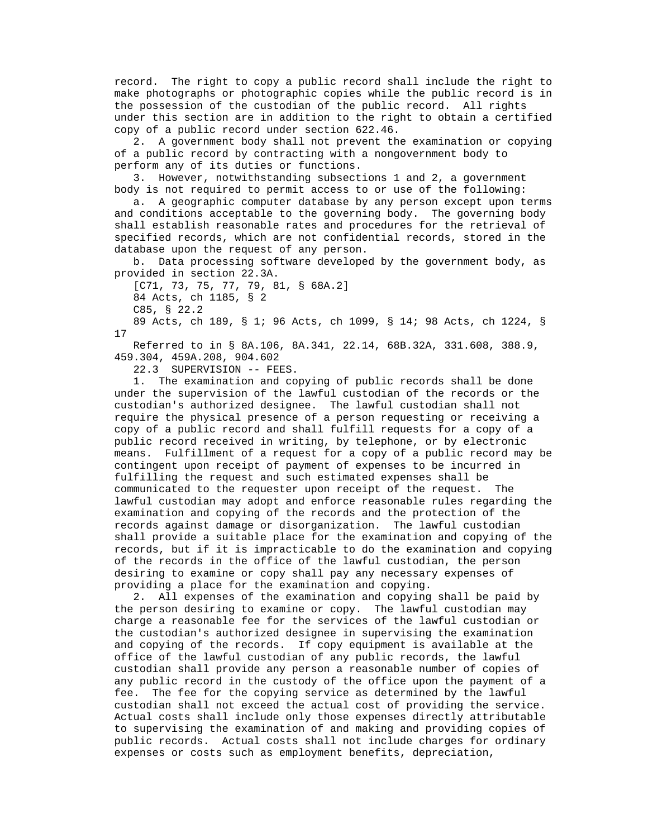record. The right to copy a public record shall include the right to make photographs or photographic copies while the public record is in the possession of the custodian of the public record. All rights under this section are in addition to the right to obtain a certified copy of a public record under section 622.46.

 2. A government body shall not prevent the examination or copying of a public record by contracting with a nongovernment body to perform any of its duties or functions.

 3. However, notwithstanding subsections 1 and 2, a government body is not required to permit access to or use of the following:

 a. A geographic computer database by any person except upon terms and conditions acceptable to the governing body. The governing body shall establish reasonable rates and procedures for the retrieval of specified records, which are not confidential records, stored in the database upon the request of any person.

 b. Data processing software developed by the government body, as provided in section 22.3A.

 [C71, 73, 75, 77, 79, 81, § 68A.2] 84 Acts, ch 1185, § 2

C85, § 22.2

 89 Acts, ch 189, § 1; 96 Acts, ch 1099, § 14; 98 Acts, ch 1224, § 17

 Referred to in § 8A.106, 8A.341, 22.14, 68B.32A, 331.608, 388.9, 459.304, 459A.208, 904.602

22.3 SUPERVISION -- FEES.

 1. The examination and copying of public records shall be done under the supervision of the lawful custodian of the records or the custodian's authorized designee. The lawful custodian shall not require the physical presence of a person requesting or receiving a copy of a public record and shall fulfill requests for a copy of a public record received in writing, by telephone, or by electronic means. Fulfillment of a request for a copy of a public record may be contingent upon receipt of payment of expenses to be incurred in fulfilling the request and such estimated expenses shall be communicated to the requester upon receipt of the request. The lawful custodian may adopt and enforce reasonable rules regarding the examination and copying of the records and the protection of the records against damage or disorganization. The lawful custodian shall provide a suitable place for the examination and copying of the records, but if it is impracticable to do the examination and copying of the records in the office of the lawful custodian, the person desiring to examine or copy shall pay any necessary expenses of providing a place for the examination and copying.

 2. All expenses of the examination and copying shall be paid by the person desiring to examine or copy. The lawful custodian may charge a reasonable fee for the services of the lawful custodian or the custodian's authorized designee in supervising the examination and copying of the records. If copy equipment is available at the office of the lawful custodian of any public records, the lawful custodian shall provide any person a reasonable number of copies of any public record in the custody of the office upon the payment of a fee. The fee for the copying service as determined by the lawful custodian shall not exceed the actual cost of providing the service. Actual costs shall include only those expenses directly attributable to supervising the examination of and making and providing copies of public records. Actual costs shall not include charges for ordinary expenses or costs such as employment benefits, depreciation,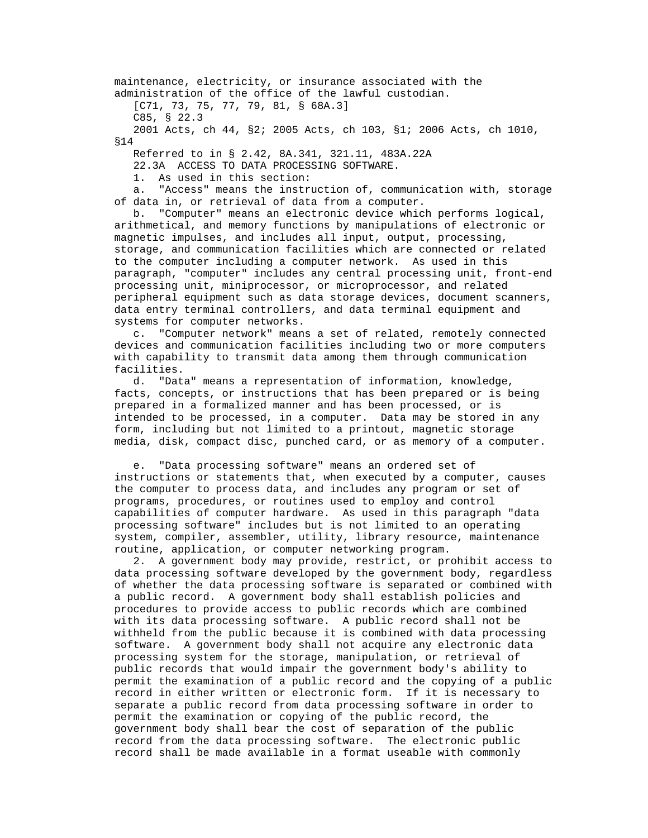maintenance, electricity, or insurance associated with the administration of the office of the lawful custodian. [C71, 73, 75, 77, 79, 81, § 68A.3] C85, § 22.3

 2001 Acts, ch 44, §2; 2005 Acts, ch 103, §1; 2006 Acts, ch 1010, §14

Referred to in § 2.42, 8A.341, 321.11, 483A.22A

22.3A ACCESS TO DATA PROCESSING SOFTWARE.

1. As used in this section:

 a. "Access" means the instruction of, communication with, storage of data in, or retrieval of data from a computer.

 b. "Computer" means an electronic device which performs logical, arithmetical, and memory functions by manipulations of electronic or magnetic impulses, and includes all input, output, processing, storage, and communication facilities which are connected or related to the computer including a computer network. As used in this paragraph, "computer" includes any central processing unit, front-end processing unit, miniprocessor, or microprocessor, and related peripheral equipment such as data storage devices, document scanners, data entry terminal controllers, and data terminal equipment and systems for computer networks.

 c. "Computer network" means a set of related, remotely connected devices and communication facilities including two or more computers with capability to transmit data among them through communication facilities.

 d. "Data" means a representation of information, knowledge, facts, concepts, or instructions that has been prepared or is being prepared in a formalized manner and has been processed, or is intended to be processed, in a computer. Data may be stored in any form, including but not limited to a printout, magnetic storage media, disk, compact disc, punched card, or as memory of a computer.

 e. "Data processing software" means an ordered set of instructions or statements that, when executed by a computer, causes the computer to process data, and includes any program or set of programs, procedures, or routines used to employ and control capabilities of computer hardware. As used in this paragraph "data processing software" includes but is not limited to an operating system, compiler, assembler, utility, library resource, maintenance routine, application, or computer networking program.

 2. A government body may provide, restrict, or prohibit access to data processing software developed by the government body, regardless of whether the data processing software is separated or combined with a public record. A government body shall establish policies and procedures to provide access to public records which are combined with its data processing software. A public record shall not be withheld from the public because it is combined with data processing software. A government body shall not acquire any electronic data processing system for the storage, manipulation, or retrieval of public records that would impair the government body's ability to permit the examination of a public record and the copying of a public record in either written or electronic form. If it is necessary to separate a public record from data processing software in order to permit the examination or copying of the public record, the government body shall bear the cost of separation of the public record from the data processing software. The electronic public record shall be made available in a format useable with commonly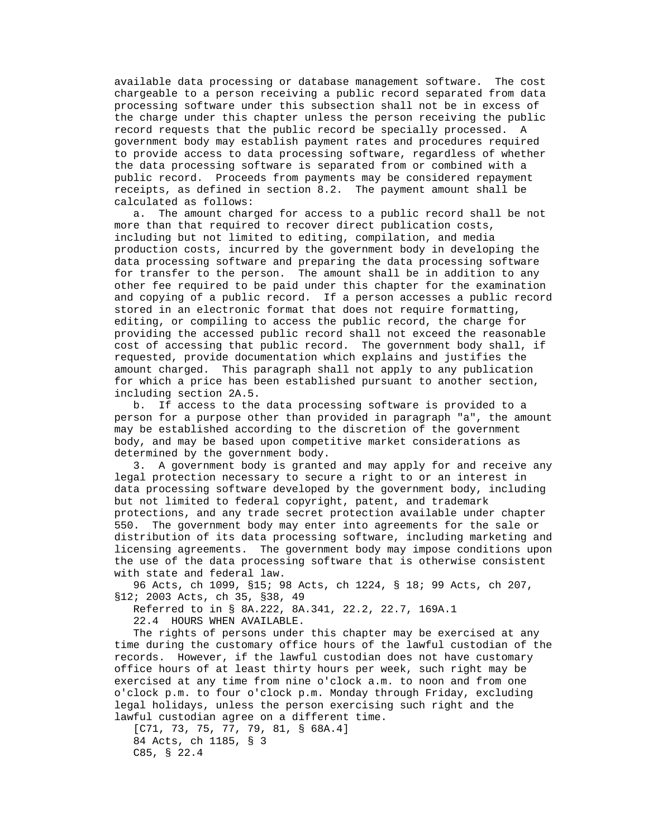available data processing or database management software. The cost chargeable to a person receiving a public record separated from data processing software under this subsection shall not be in excess of the charge under this chapter unless the person receiving the public record requests that the public record be specially processed. A government body may establish payment rates and procedures required to provide access to data processing software, regardless of whether the data processing software is separated from or combined with a public record. Proceeds from payments may be considered repayment receipts, as defined in section 8.2. The payment amount shall be calculated as follows:

 a. The amount charged for access to a public record shall be not more than that required to recover direct publication costs, including but not limited to editing, compilation, and media production costs, incurred by the government body in developing the data processing software and preparing the data processing software for transfer to the person. The amount shall be in addition to any other fee required to be paid under this chapter for the examination and copying of a public record. If a person accesses a public record stored in an electronic format that does not require formatting, editing, or compiling to access the public record, the charge for providing the accessed public record shall not exceed the reasonable cost of accessing that public record. The government body shall, if requested, provide documentation which explains and justifies the amount charged. This paragraph shall not apply to any publication for which a price has been established pursuant to another section, including section 2A.5.

 b. If access to the data processing software is provided to a person for a purpose other than provided in paragraph "a", the amount may be established according to the discretion of the government body, and may be based upon competitive market considerations as determined by the government body.

 3. A government body is granted and may apply for and receive any legal protection necessary to secure a right to or an interest in data processing software developed by the government body, including but not limited to federal copyright, patent, and trademark protections, and any trade secret protection available under chapter 550. The government body may enter into agreements for the sale or distribution of its data processing software, including marketing and licensing agreements. The government body may impose conditions upon the use of the data processing software that is otherwise consistent with state and federal law.

 96 Acts, ch 1099, §15; 98 Acts, ch 1224, § 18; 99 Acts, ch 207, §12; 2003 Acts, ch 35, §38, 49

Referred to in § 8A.222, 8A.341, 22.2, 22.7, 169A.1

22.4 HOURS WHEN AVAILABLE.

 The rights of persons under this chapter may be exercised at any time during the customary office hours of the lawful custodian of the records. However, if the lawful custodian does not have customary office hours of at least thirty hours per week, such right may be exercised at any time from nine o'clock a.m. to noon and from one o'clock p.m. to four o'clock p.m. Monday through Friday, excluding legal holidays, unless the person exercising such right and the lawful custodian agree on a different time.

 [C71, 73, 75, 77, 79, 81, § 68A.4] 84 Acts, ch 1185, § 3 C85, § 22.4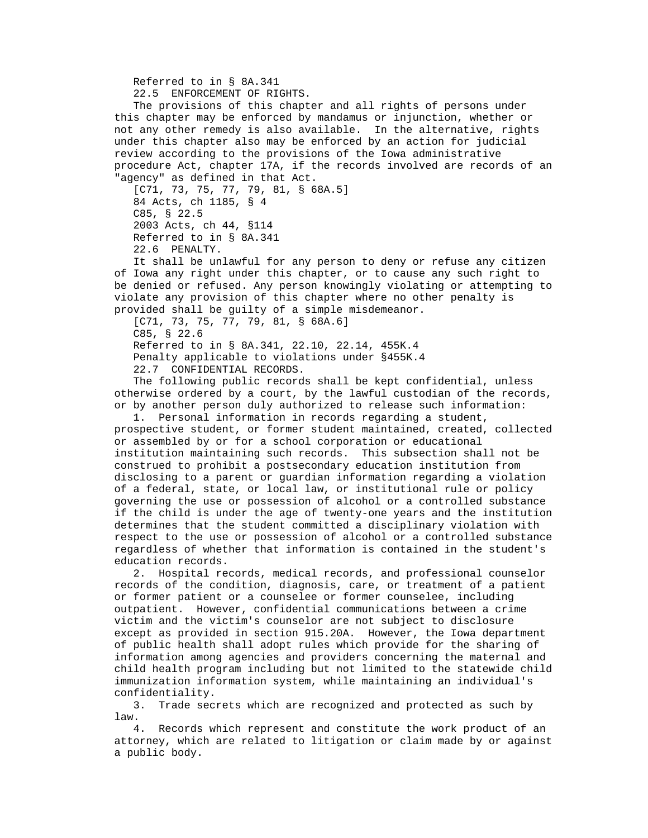Referred to in § 8A.341

22.5 ENFORCEMENT OF RIGHTS.

 The provisions of this chapter and all rights of persons under this chapter may be enforced by mandamus or injunction, whether or not any other remedy is also available. In the alternative, rights under this chapter also may be enforced by an action for judicial review according to the provisions of the Iowa administrative procedure Act, chapter 17A, if the records involved are records of an "agency" as defined in that Act.

 [C71, 73, 75, 77, 79, 81, § 68A.5] 84 Acts, ch 1185, § 4 C85, § 22.5 2003 Acts, ch 44, §114 Referred to in § 8A.341 22.6 PENALTY.

 It shall be unlawful for any person to deny or refuse any citizen of Iowa any right under this chapter, or to cause any such right to be denied or refused. Any person knowingly violating or attempting to violate any provision of this chapter where no other penalty is provided shall be guilty of a simple misdemeanor.

[C71, 73, 75, 77, 79, 81, § 68A.6] C85, § 22.6 Referred to in § 8A.341, 22.10, 22.14, 455K.4 Penalty applicable to violations under §455K.4 22.7 CONFIDENTIAL RECORDS.

 The following public records shall be kept confidential, unless otherwise ordered by a court, by the lawful custodian of the records, or by another person duly authorized to release such information:

 1. Personal information in records regarding a student, prospective student, or former student maintained, created, collected or assembled by or for a school corporation or educational institution maintaining such records. This subsection shall not be construed to prohibit a postsecondary education institution from disclosing to a parent or guardian information regarding a violation of a federal, state, or local law, or institutional rule or policy governing the use or possession of alcohol or a controlled substance if the child is under the age of twenty-one years and the institution determines that the student committed a disciplinary violation with respect to the use or possession of alcohol or a controlled substance regardless of whether that information is contained in the student's education records.

 2. Hospital records, medical records, and professional counselor records of the condition, diagnosis, care, or treatment of a patient or former patient or a counselee or former counselee, including outpatient. However, confidential communications between a crime victim and the victim's counselor are not subject to disclosure except as provided in section 915.20A. However, the Iowa department of public health shall adopt rules which provide for the sharing of information among agencies and providers concerning the maternal and child health program including but not limited to the statewide child immunization information system, while maintaining an individual's confidentiality.

 3. Trade secrets which are recognized and protected as such by law.

 4. Records which represent and constitute the work product of an attorney, which are related to litigation or claim made by or against a public body.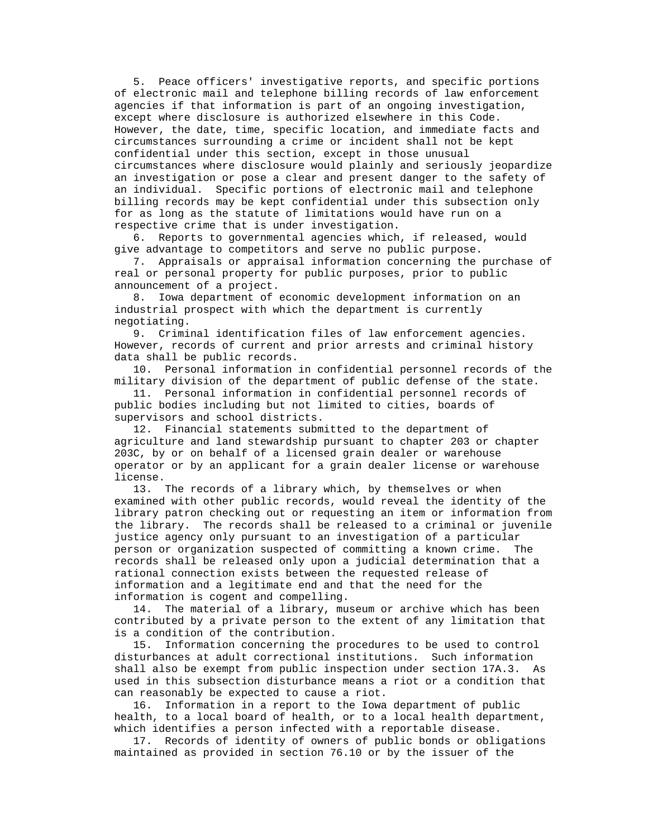5. Peace officers' investigative reports, and specific portions of electronic mail and telephone billing records of law enforcement agencies if that information is part of an ongoing investigation, except where disclosure is authorized elsewhere in this Code. However, the date, time, specific location, and immediate facts and circumstances surrounding a crime or incident shall not be kept confidential under this section, except in those unusual circumstances where disclosure would plainly and seriously jeopardize an investigation or pose a clear and present danger to the safety of an individual. Specific portions of electronic mail and telephone billing records may be kept confidential under this subsection only for as long as the statute of limitations would have run on a respective crime that is under investigation.

 6. Reports to governmental agencies which, if released, would give advantage to competitors and serve no public purpose.

 7. Appraisals or appraisal information concerning the purchase of real or personal property for public purposes, prior to public announcement of a project.

 8. Iowa department of economic development information on an industrial prospect with which the department is currently negotiating.

 9. Criminal identification files of law enforcement agencies. However, records of current and prior arrests and criminal history data shall be public records.

 10. Personal information in confidential personnel records of the military division of the department of public defense of the state.

 11. Personal information in confidential personnel records of public bodies including but not limited to cities, boards of supervisors and school districts.

 12. Financial statements submitted to the department of agriculture and land stewardship pursuant to chapter 203 or chapter 203C, by or on behalf of a licensed grain dealer or warehouse operator or by an applicant for a grain dealer license or warehouse license.

 13. The records of a library which, by themselves or when examined with other public records, would reveal the identity of the library patron checking out or requesting an item or information from the library. The records shall be released to a criminal or juvenile justice agency only pursuant to an investigation of a particular person or organization suspected of committing a known crime. The records shall be released only upon a judicial determination that a rational connection exists between the requested release of information and a legitimate end and that the need for the information is cogent and compelling.

 14. The material of a library, museum or archive which has been contributed by a private person to the extent of any limitation that is a condition of the contribution.

 15. Information concerning the procedures to be used to control disturbances at adult correctional institutions. Such information shall also be exempt from public inspection under section 17A.3. As used in this subsection disturbance means a riot or a condition that can reasonably be expected to cause a riot.

 16. Information in a report to the Iowa department of public health, to a local board of health, or to a local health department, which identifies a person infected with a reportable disease.

 17. Records of identity of owners of public bonds or obligations maintained as provided in section 76.10 or by the issuer of the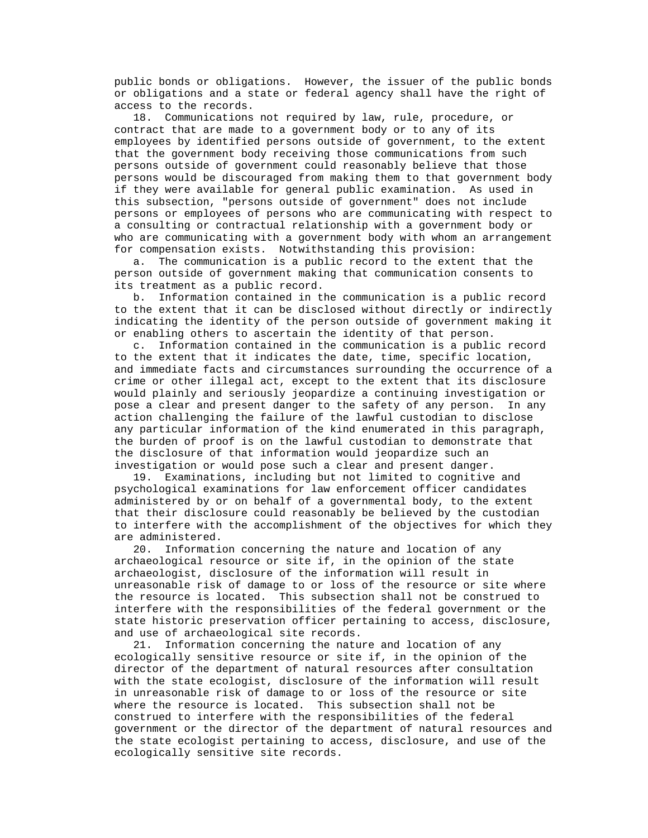public bonds or obligations. However, the issuer of the public bonds or obligations and a state or federal agency shall have the right of access to the records.

 18. Communications not required by law, rule, procedure, or contract that are made to a government body or to any of its employees by identified persons outside of government, to the extent that the government body receiving those communications from such persons outside of government could reasonably believe that those persons would be discouraged from making them to that government body if they were available for general public examination. As used in this subsection, "persons outside of government" does not include persons or employees of persons who are communicating with respect to a consulting or contractual relationship with a government body or who are communicating with a government body with whom an arrangement for compensation exists. Notwithstanding this provision:

 a. The communication is a public record to the extent that the person outside of government making that communication consents to its treatment as a public record.

 b. Information contained in the communication is a public record to the extent that it can be disclosed without directly or indirectly indicating the identity of the person outside of government making it or enabling others to ascertain the identity of that person.

 c. Information contained in the communication is a public record to the extent that it indicates the date, time, specific location, and immediate facts and circumstances surrounding the occurrence of a crime or other illegal act, except to the extent that its disclosure would plainly and seriously jeopardize a continuing investigation or pose a clear and present danger to the safety of any person. In any action challenging the failure of the lawful custodian to disclose any particular information of the kind enumerated in this paragraph, the burden of proof is on the lawful custodian to demonstrate that the disclosure of that information would jeopardize such an investigation or would pose such a clear and present danger.

 19. Examinations, including but not limited to cognitive and psychological examinations for law enforcement officer candidates administered by or on behalf of a governmental body, to the extent that their disclosure could reasonably be believed by the custodian to interfere with the accomplishment of the objectives for which they are administered.

 20. Information concerning the nature and location of any archaeological resource or site if, in the opinion of the state archaeologist, disclosure of the information will result in unreasonable risk of damage to or loss of the resource or site where the resource is located. This subsection shall not be construed to interfere with the responsibilities of the federal government or the state historic preservation officer pertaining to access, disclosure, and use of archaeological site records.

 21. Information concerning the nature and location of any ecologically sensitive resource or site if, in the opinion of the director of the department of natural resources after consultation with the state ecologist, disclosure of the information will result in unreasonable risk of damage to or loss of the resource or site where the resource is located. This subsection shall not be construed to interfere with the responsibilities of the federal government or the director of the department of natural resources and the state ecologist pertaining to access, disclosure, and use of the ecologically sensitive site records.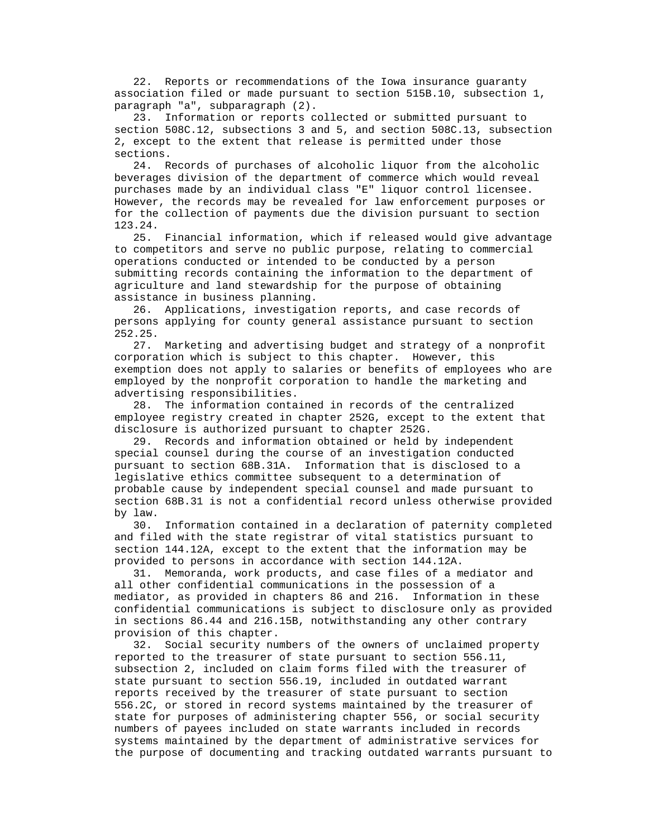22. Reports or recommendations of the Iowa insurance guaranty association filed or made pursuant to section 515B.10, subsection 1, paragraph "a", subparagraph (2).

 23. Information or reports collected or submitted pursuant to section 508C.12, subsections 3 and 5, and section 508C.13, subsection 2, except to the extent that release is permitted under those sections.

 24. Records of purchases of alcoholic liquor from the alcoholic beverages division of the department of commerce which would reveal purchases made by an individual class "E" liquor control licensee. However, the records may be revealed for law enforcement purposes or for the collection of payments due the division pursuant to section 123.24.

 25. Financial information, which if released would give advantage to competitors and serve no public purpose, relating to commercial operations conducted or intended to be conducted by a person submitting records containing the information to the department of agriculture and land stewardship for the purpose of obtaining assistance in business planning.

 26. Applications, investigation reports, and case records of persons applying for county general assistance pursuant to section 252.25.

 27. Marketing and advertising budget and strategy of a nonprofit corporation which is subject to this chapter. However, this exemption does not apply to salaries or benefits of employees who are employed by the nonprofit corporation to handle the marketing and advertising responsibilities.

 28. The information contained in records of the centralized employee registry created in chapter 252G, except to the extent that disclosure is authorized pursuant to chapter 252G.

 29. Records and information obtained or held by independent special counsel during the course of an investigation conducted pursuant to section 68B.31A. Information that is disclosed to a legislative ethics committee subsequent to a determination of probable cause by independent special counsel and made pursuant to section 68B.31 is not a confidential record unless otherwise provided by law.

 30. Information contained in a declaration of paternity completed and filed with the state registrar of vital statistics pursuant to section 144.12A, except to the extent that the information may be provided to persons in accordance with section 144.12A.

 31. Memoranda, work products, and case files of a mediator and all other confidential communications in the possession of a mediator, as provided in chapters 86 and 216. Information in these confidential communications is subject to disclosure only as provided in sections 86.44 and 216.15B, notwithstanding any other contrary provision of this chapter.

 32. Social security numbers of the owners of unclaimed property reported to the treasurer of state pursuant to section 556.11, subsection 2, included on claim forms filed with the treasurer of state pursuant to section 556.19, included in outdated warrant reports received by the treasurer of state pursuant to section 556.2C, or stored in record systems maintained by the treasurer of state for purposes of administering chapter 556, or social security numbers of payees included on state warrants included in records systems maintained by the department of administrative services for the purpose of documenting and tracking outdated warrants pursuant to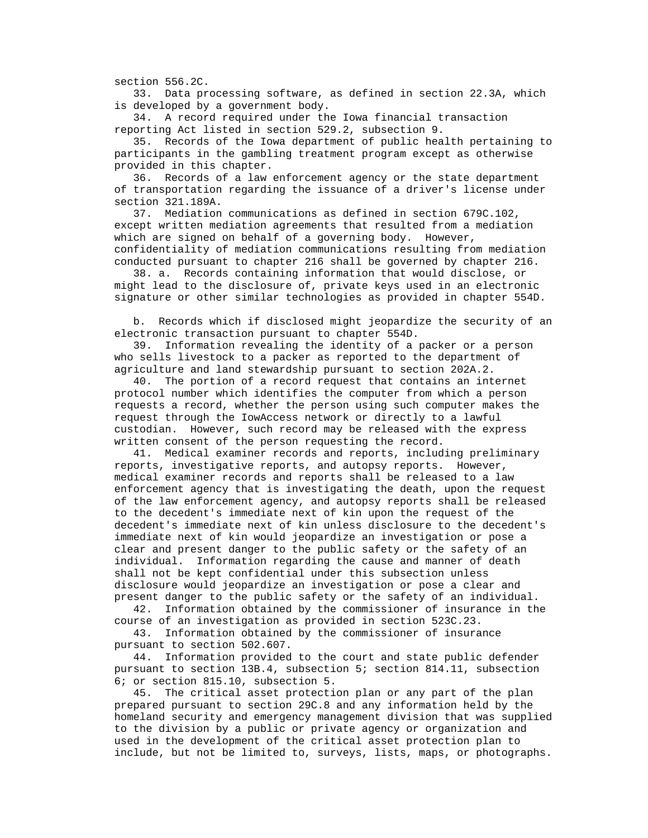section 556.2C.

 33. Data processing software, as defined in section 22.3A, which is developed by a government body.

 34. A record required under the Iowa financial transaction reporting Act listed in section 529.2, subsection 9.

 35. Records of the Iowa department of public health pertaining to participants in the gambling treatment program except as otherwise provided in this chapter.

 36. Records of a law enforcement agency or the state department of transportation regarding the issuance of a driver's license under section 321.189A.

 37. Mediation communications as defined in section 679C.102, except written mediation agreements that resulted from a mediation which are signed on behalf of a governing body. However, confidentiality of mediation communications resulting from mediation conducted pursuant to chapter 216 shall be governed by chapter 216.

 38. a. Records containing information that would disclose, or might lead to the disclosure of, private keys used in an electronic signature or other similar technologies as provided in chapter 554D.

 b. Records which if disclosed might jeopardize the security of an electronic transaction pursuant to chapter 554D.

 39. Information revealing the identity of a packer or a person who sells livestock to a packer as reported to the department of agriculture and land stewardship pursuant to section 202A.2.

 40. The portion of a record request that contains an internet protocol number which identifies the computer from which a person requests a record, whether the person using such computer makes the request through the IowAccess network or directly to a lawful custodian. However, such record may be released with the express written consent of the person requesting the record.

 41. Medical examiner records and reports, including preliminary reports, investigative reports, and autopsy reports. However, medical examiner records and reports shall be released to a law enforcement agency that is investigating the death, upon the request of the law enforcement agency, and autopsy reports shall be released to the decedent's immediate next of kin upon the request of the decedent's immediate next of kin unless disclosure to the decedent's immediate next of kin would jeopardize an investigation or pose a clear and present danger to the public safety or the safety of an individual. Information regarding the cause and manner of death shall not be kept confidential under this subsection unless disclosure would jeopardize an investigation or pose a clear and present danger to the public safety or the safety of an individual.

 42. Information obtained by the commissioner of insurance in the course of an investigation as provided in section 523C.23.

 43. Information obtained by the commissioner of insurance pursuant to section 502.607.

 44. Information provided to the court and state public defender pursuant to section 13B.4, subsection 5; section 814.11, subsection 6; or section 815.10, subsection 5.

 45. The critical asset protection plan or any part of the plan prepared pursuant to section 29C.8 and any information held by the homeland security and emergency management division that was supplied to the division by a public or private agency or organization and used in the development of the critical asset protection plan to include, but not be limited to, surveys, lists, maps, or photographs.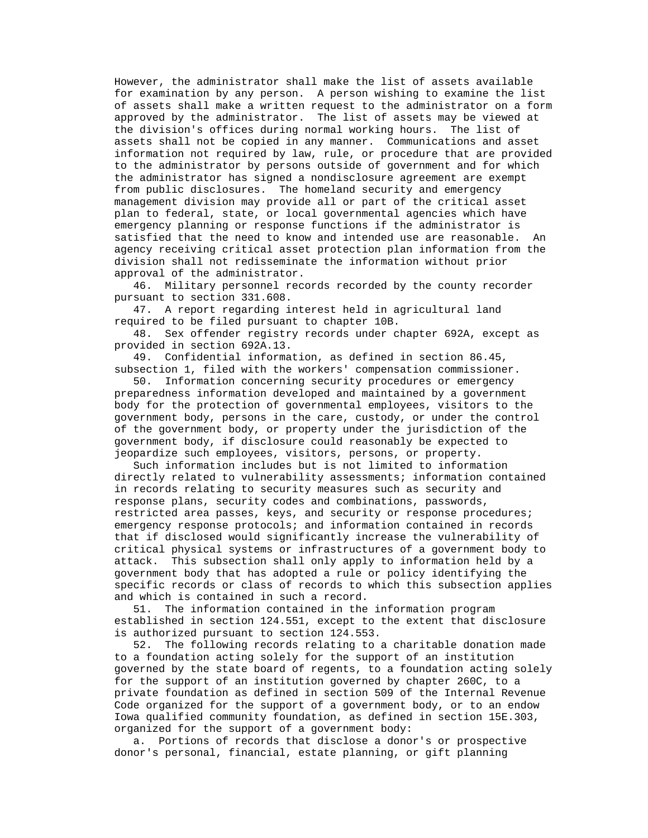However, the administrator shall make the list of assets available for examination by any person. A person wishing to examine the list of assets shall make a written request to the administrator on a form approved by the administrator. The list of assets may be viewed at the division's offices during normal working hours. The list of assets shall not be copied in any manner. Communications and asset information not required by law, rule, or procedure that are provided to the administrator by persons outside of government and for which the administrator has signed a nondisclosure agreement are exempt from public disclosures. The homeland security and emergency management division may provide all or part of the critical asset plan to federal, state, or local governmental agencies which have emergency planning or response functions if the administrator is satisfied that the need to know and intended use are reasonable. An agency receiving critical asset protection plan information from the division shall not redisseminate the information without prior approval of the administrator.

 46. Military personnel records recorded by the county recorder pursuant to section 331.608.

 47. A report regarding interest held in agricultural land required to be filed pursuant to chapter 10B.

 48. Sex offender registry records under chapter 692A, except as provided in section 692A.13.

 49. Confidential information, as defined in section 86.45, subsection 1, filed with the workers' compensation commissioner.

 50. Information concerning security procedures or emergency preparedness information developed and maintained by a government body for the protection of governmental employees, visitors to the government body, persons in the care, custody, or under the control of the government body, or property under the jurisdiction of the government body, if disclosure could reasonably be expected to jeopardize such employees, visitors, persons, or property.

 Such information includes but is not limited to information directly related to vulnerability assessments; information contained in records relating to security measures such as security and response plans, security codes and combinations, passwords, restricted area passes, keys, and security or response procedures; emergency response protocols; and information contained in records that if disclosed would significantly increase the vulnerability of critical physical systems or infrastructures of a government body to attack. This subsection shall only apply to information held by a government body that has adopted a rule or policy identifying the specific records or class of records to which this subsection applies and which is contained in such a record.

 51. The information contained in the information program established in section 124.551, except to the extent that disclosure is authorized pursuant to section 124.553.

 52. The following records relating to a charitable donation made to a foundation acting solely for the support of an institution governed by the state board of regents, to a foundation acting solely for the support of an institution governed by chapter 260C, to a private foundation as defined in section 509 of the Internal Revenue Code organized for the support of a government body, or to an endow Iowa qualified community foundation, as defined in section 15E.303, organized for the support of a government body:

 a. Portions of records that disclose a donor's or prospective donor's personal, financial, estate planning, or gift planning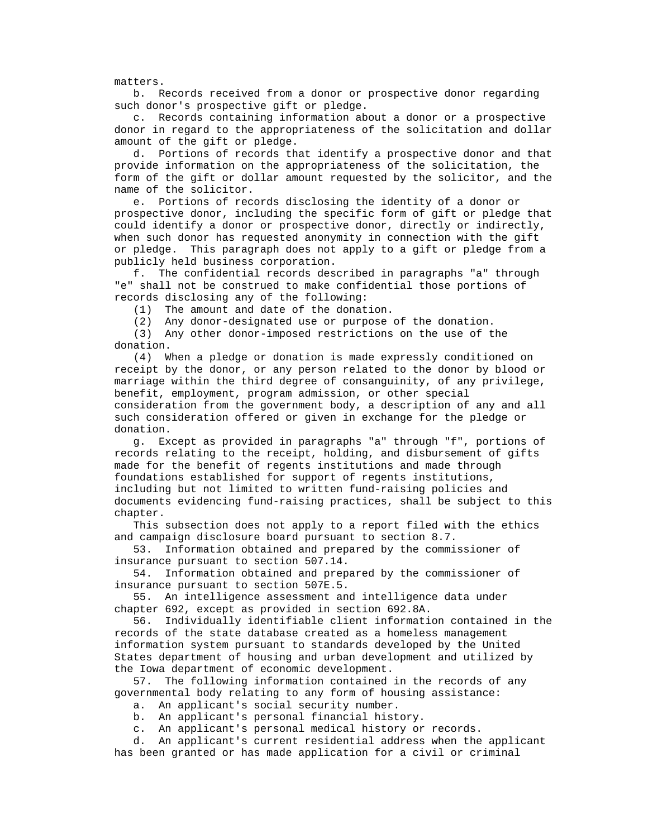matters.

 b. Records received from a donor or prospective donor regarding such donor's prospective gift or pledge.

 c. Records containing information about a donor or a prospective donor in regard to the appropriateness of the solicitation and dollar amount of the gift or pledge.

 d. Portions of records that identify a prospective donor and that provide information on the appropriateness of the solicitation, the form of the gift or dollar amount requested by the solicitor, and the name of the solicitor.

 e. Portions of records disclosing the identity of a donor or prospective donor, including the specific form of gift or pledge that could identify a donor or prospective donor, directly or indirectly, when such donor has requested anonymity in connection with the gift or pledge. This paragraph does not apply to a gift or pledge from a publicly held business corporation.

 f. The confidential records described in paragraphs "a" through "e" shall not be construed to make confidential those portions of records disclosing any of the following:

(1) The amount and date of the donation.

(2) Any donor-designated use or purpose of the donation.

 (3) Any other donor-imposed restrictions on the use of the donation.

 (4) When a pledge or donation is made expressly conditioned on receipt by the donor, or any person related to the donor by blood or marriage within the third degree of consanguinity, of any privilege, benefit, employment, program admission, or other special consideration from the government body, a description of any and all such consideration offered or given in exchange for the pledge or donation.

 g. Except as provided in paragraphs "a" through "f", portions of records relating to the receipt, holding, and disbursement of gifts made for the benefit of regents institutions and made through foundations established for support of regents institutions, including but not limited to written fund-raising policies and documents evidencing fund-raising practices, shall be subject to this chapter.

 This subsection does not apply to a report filed with the ethics and campaign disclosure board pursuant to section 8.7.

 53. Information obtained and prepared by the commissioner of insurance pursuant to section 507.14.

 54. Information obtained and prepared by the commissioner of insurance pursuant to section 507E.5.

 55. An intelligence assessment and intelligence data under chapter 692, except as provided in section 692.8A.

 56. Individually identifiable client information contained in the records of the state database created as a homeless management information system pursuant to standards developed by the United States department of housing and urban development and utilized by the Iowa department of economic development.

 57. The following information contained in the records of any governmental body relating to any form of housing assistance:

a. An applicant's social security number.

b. An applicant's personal financial history.

c. An applicant's personal medical history or records.

 d. An applicant's current residential address when the applicant has been granted or has made application for a civil or criminal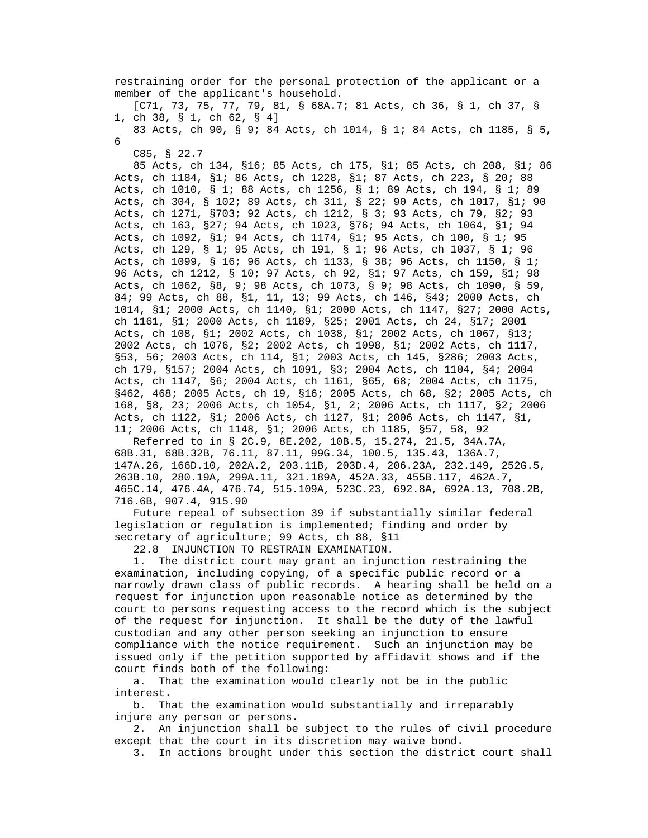restraining order for the personal protection of the applicant or a member of the applicant's household.

 [C71, 73, 75, 77, 79, 81, § 68A.7; 81 Acts, ch 36, § 1, ch 37, § 1, ch 38, § 1, ch 62, § 4]

 83 Acts, ch 90, § 9; 84 Acts, ch 1014, § 1; 84 Acts, ch 1185, § 5, 6

C85, § 22.7

 85 Acts, ch 134, §16; 85 Acts, ch 175, §1; 85 Acts, ch 208, §1; 86 Acts, ch 1184, §1; 86 Acts, ch 1228, §1; 87 Acts, ch 223, § 20; 88 Acts, ch 1010, § 1; 88 Acts, ch 1256, § 1; 89 Acts, ch 194, § 1; 89 Acts, ch 304, § 102; 89 Acts, ch 311, § 22; 90 Acts, ch 1017, §1; 90 Acts, ch 1271, §703; 92 Acts, ch 1212, § 3; 93 Acts, ch 79, §2; 93 Acts, ch 163, §27; 94 Acts, ch 1023, §76; 94 Acts, ch 1064, §1; 94 Acts, ch 1092, §1; 94 Acts, ch 1174, §1; 95 Acts, ch 100, § 1; 95 Acts, ch 129, § 1; 95 Acts, ch 191, § 1; 96 Acts, ch 1037, § 1; 96 Acts, ch 1099, § 16; 96 Acts, ch 1133, § 38; 96 Acts, ch 1150, § 1; 96 Acts, ch 1212, § 10; 97 Acts, ch 92, §1; 97 Acts, ch 159, §1; 98 Acts, ch 1062, §8, 9; 98 Acts, ch 1073, § 9; 98 Acts, ch 1090, § 59, 84; 99 Acts, ch 88, §1, 11, 13; 99 Acts, ch 146, §43; 2000 Acts, ch 1014, §1; 2000 Acts, ch 1140, §1; 2000 Acts, ch 1147, §27; 2000 Acts, ch 1161, §1; 2000 Acts, ch 1189, §25; 2001 Acts, ch 24, §17; 2001 Acts, ch 108, §1; 2002 Acts, ch 1038, §1; 2002 Acts, ch 1067, §13; 2002 Acts, ch 1076, §2; 2002 Acts, ch 1098, §1; 2002 Acts, ch 1117, §53, 56; 2003 Acts, ch 114, §1; 2003 Acts, ch 145, §286; 2003 Acts, ch 179, §157; 2004 Acts, ch 1091, §3; 2004 Acts, ch 1104, §4; 2004 Acts, ch 1147, §6; 2004 Acts, ch 1161, §65, 68; 2004 Acts, ch 1175, §462, 468; 2005 Acts, ch 19, §16; 2005 Acts, ch 68, §2; 2005 Acts, ch 168, §8, 23; 2006 Acts, ch 1054, §1, 2; 2006 Acts, ch 1117, §2; 2006 Acts, ch 1122, §1; 2006 Acts, ch 1127, §1; 2006 Acts, ch 1147, §1, 11; 2006 Acts, ch 1148, §1; 2006 Acts, ch 1185, §57, 58, 92

 Referred to in § 2C.9, 8E.202, 10B.5, 15.274, 21.5, 34A.7A, 68B.31, 68B.32B, 76.11, 87.11, 99G.34, 100.5, 135.43, 136A.7, 147A.26, 166D.10, 202A.2, 203.11B, 203D.4, 206.23A, 232.149, 252G.5, 263B.10, 280.19A, 299A.11, 321.189A, 452A.33, 455B.117, 462A.7, 465C.14, 476.4A, 476.74, 515.109A, 523C.23, 692.8A, 692A.13, 708.2B, 716.6B, 907.4, 915.90

 Future repeal of subsection 39 if substantially similar federal legislation or regulation is implemented; finding and order by secretary of agriculture; 99 Acts, ch 88, §11

22.8 INJUNCTION TO RESTRAIN EXAMINATION.

 1. The district court may grant an injunction restraining the examination, including copying, of a specific public record or a narrowly drawn class of public records. A hearing shall be held on a request for injunction upon reasonable notice as determined by the court to persons requesting access to the record which is the subject of the request for injunction. It shall be the duty of the lawful custodian and any other person seeking an injunction to ensure compliance with the notice requirement. Such an injunction may be issued only if the petition supported by affidavit shows and if the court finds both of the following:

 a. That the examination would clearly not be in the public interest.

 b. That the examination would substantially and irreparably injure any person or persons.

 2. An injunction shall be subject to the rules of civil procedure except that the court in its discretion may waive bond.

3. In actions brought under this section the district court shall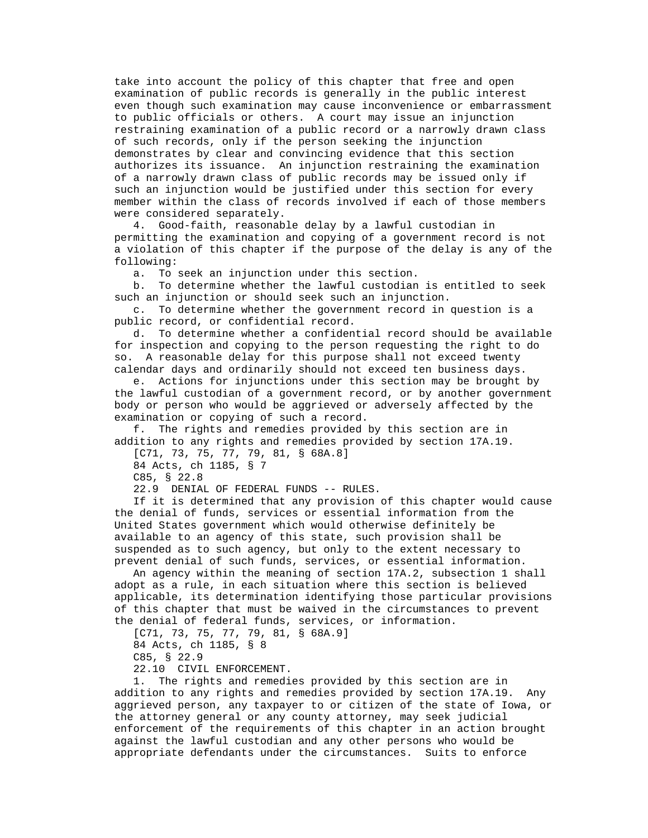take into account the policy of this chapter that free and open examination of public records is generally in the public interest even though such examination may cause inconvenience or embarrassment to public officials or others. A court may issue an injunction restraining examination of a public record or a narrowly drawn class of such records, only if the person seeking the injunction demonstrates by clear and convincing evidence that this section authorizes its issuance. An injunction restraining the examination of a narrowly drawn class of public records may be issued only if such an injunction would be justified under this section for every member within the class of records involved if each of those members were considered separately.

 4. Good-faith, reasonable delay by a lawful custodian in permitting the examination and copying of a government record is not a violation of this chapter if the purpose of the delay is any of the following:

a. To seek an injunction under this section.

 b. To determine whether the lawful custodian is entitled to seek such an injunction or should seek such an injunction.

 c. To determine whether the government record in question is a public record, or confidential record.

 d. To determine whether a confidential record should be available for inspection and copying to the person requesting the right to do so. A reasonable delay for this purpose shall not exceed twenty calendar days and ordinarily should not exceed ten business days.

 e. Actions for injunctions under this section may be brought by the lawful custodian of a government record, or by another government body or person who would be aggrieved or adversely affected by the examination or copying of such a record.

 f. The rights and remedies provided by this section are in addition to any rights and remedies provided by section 17A.19.

[C71, 73, 75, 77, 79, 81, § 68A.8]

84 Acts, ch 1185, § 7

C85, § 22.8

22.9 DENIAL OF FEDERAL FUNDS -- RULES.

 If it is determined that any provision of this chapter would cause the denial of funds, services or essential information from the United States government which would otherwise definitely be available to an agency of this state, such provision shall be suspended as to such agency, but only to the extent necessary to prevent denial of such funds, services, or essential information.

 An agency within the meaning of section 17A.2, subsection 1 shall adopt as a rule, in each situation where this section is believed applicable, its determination identifying those particular provisions of this chapter that must be waived in the circumstances to prevent the denial of federal funds, services, or information.

 [C71, 73, 75, 77, 79, 81, § 68A.9] 84 Acts, ch 1185, § 8 C85, § 22.9

22.10 CIVIL ENFORCEMENT.

 1. The rights and remedies provided by this section are in addition to any rights and remedies provided by section 17A.19. Any aggrieved person, any taxpayer to or citizen of the state of Iowa, or the attorney general or any county attorney, may seek judicial enforcement of the requirements of this chapter in an action brought against the lawful custodian and any other persons who would be appropriate defendants under the circumstances. Suits to enforce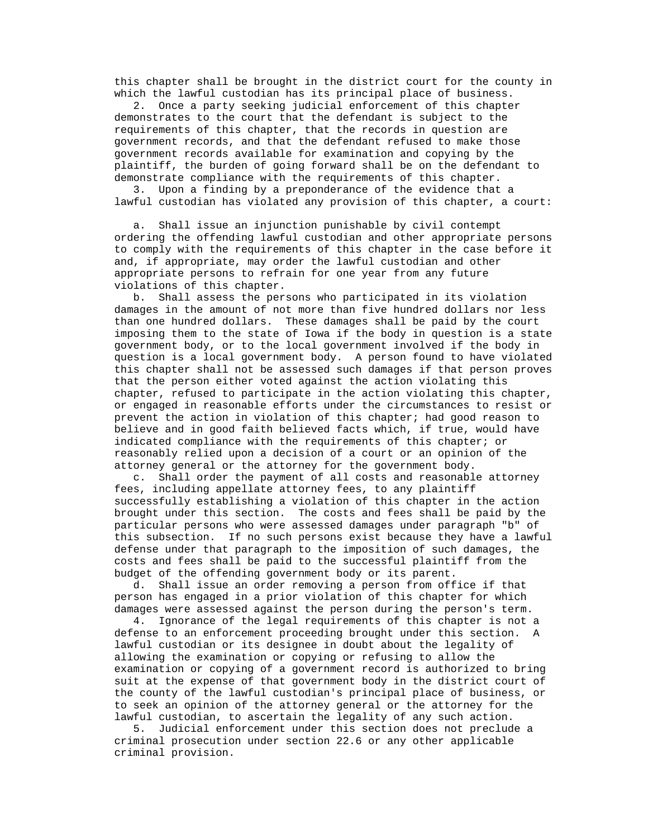this chapter shall be brought in the district court for the county in which the lawful custodian has its principal place of business.

 2. Once a party seeking judicial enforcement of this chapter demonstrates to the court that the defendant is subject to the requirements of this chapter, that the records in question are government records, and that the defendant refused to make those government records available for examination and copying by the plaintiff, the burden of going forward shall be on the defendant to demonstrate compliance with the requirements of this chapter.

 3. Upon a finding by a preponderance of the evidence that a lawful custodian has violated any provision of this chapter, a court:

 a. Shall issue an injunction punishable by civil contempt ordering the offending lawful custodian and other appropriate persons to comply with the requirements of this chapter in the case before it and, if appropriate, may order the lawful custodian and other appropriate persons to refrain for one year from any future violations of this chapter.

 b. Shall assess the persons who participated in its violation damages in the amount of not more than five hundred dollars nor less than one hundred dollars. These damages shall be paid by the court imposing them to the state of Iowa if the body in question is a state government body, or to the local government involved if the body in question is a local government body. A person found to have violated this chapter shall not be assessed such damages if that person proves that the person either voted against the action violating this chapter, refused to participate in the action violating this chapter, or engaged in reasonable efforts under the circumstances to resist or prevent the action in violation of this chapter; had good reason to believe and in good faith believed facts which, if true, would have indicated compliance with the requirements of this chapter; or reasonably relied upon a decision of a court or an opinion of the attorney general or the attorney for the government body.

 c. Shall order the payment of all costs and reasonable attorney fees, including appellate attorney fees, to any plaintiff successfully establishing a violation of this chapter in the action brought under this section. The costs and fees shall be paid by the particular persons who were assessed damages under paragraph "b" of this subsection. If no such persons exist because they have a lawful defense under that paragraph to the imposition of such damages, the costs and fees shall be paid to the successful plaintiff from the budget of the offending government body or its parent.

 d. Shall issue an order removing a person from office if that person has engaged in a prior violation of this chapter for which damages were assessed against the person during the person's term.

 4. Ignorance of the legal requirements of this chapter is not a defense to an enforcement proceeding brought under this section. A lawful custodian or its designee in doubt about the legality of allowing the examination or copying or refusing to allow the examination or copying of a government record is authorized to bring suit at the expense of that government body in the district court of the county of the lawful custodian's principal place of business, or to seek an opinion of the attorney general or the attorney for the lawful custodian, to ascertain the legality of any such action.

 5. Judicial enforcement under this section does not preclude a criminal prosecution under section 22.6 or any other applicable criminal provision.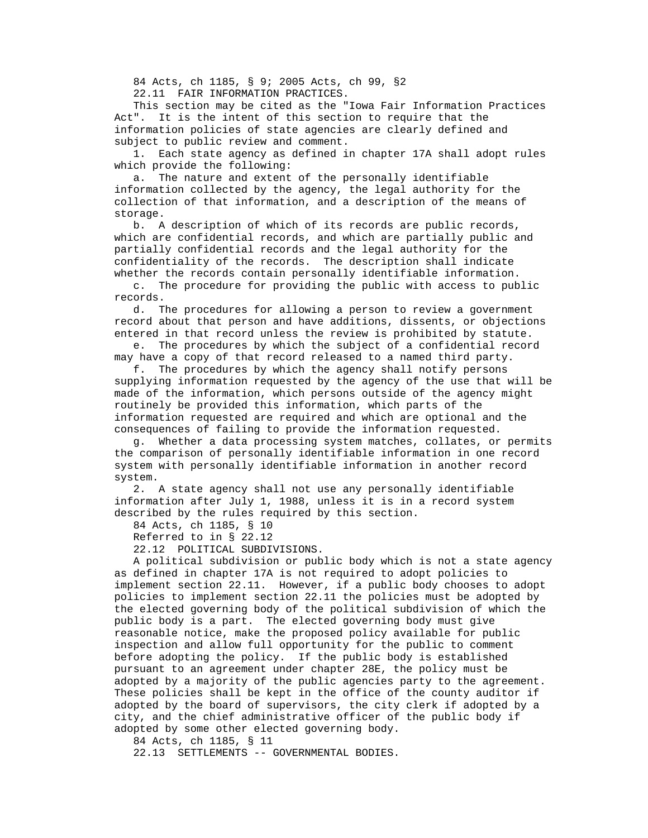84 Acts, ch 1185, § 9; 2005 Acts, ch 99, §2 22.11 FAIR INFORMATION PRACTICES.

 This section may be cited as the "Iowa Fair Information Practices Act". It is the intent of this section to require that the information policies of state agencies are clearly defined and subject to public review and comment.

 1. Each state agency as defined in chapter 17A shall adopt rules which provide the following:

 a. The nature and extent of the personally identifiable information collected by the agency, the legal authority for the collection of that information, and a description of the means of storage.

 b. A description of which of its records are public records, which are confidential records, and which are partially public and partially confidential records and the legal authority for the confidentiality of the records. The description shall indicate whether the records contain personally identifiable information.

 c. The procedure for providing the public with access to public records.

 d. The procedures for allowing a person to review a government record about that person and have additions, dissents, or objections entered in that record unless the review is prohibited by statute.

 e. The procedures by which the subject of a confidential record may have a copy of that record released to a named third party.

 f. The procedures by which the agency shall notify persons supplying information requested by the agency of the use that will be made of the information, which persons outside of the agency might routinely be provided this information, which parts of the information requested are required and which are optional and the consequences of failing to provide the information requested.

 g. Whether a data processing system matches, collates, or permits the comparison of personally identifiable information in one record system with personally identifiable information in another record system.

 2. A state agency shall not use any personally identifiable information after July 1, 1988, unless it is in a record system described by the rules required by this section.

84 Acts, ch 1185, § 10

Referred to in § 22.12

22.12 POLITICAL SUBDIVISIONS.

 A political subdivision or public body which is not a state agency as defined in chapter 17A is not required to adopt policies to implement section 22.11. However, if a public body chooses to adopt policies to implement section 22.11 the policies must be adopted by the elected governing body of the political subdivision of which the public body is a part. The elected governing body must give reasonable notice, make the proposed policy available for public inspection and allow full opportunity for the public to comment before adopting the policy. If the public body is established pursuant to an agreement under chapter 28E, the policy must be adopted by a majority of the public agencies party to the agreement. These policies shall be kept in the office of the county auditor if adopted by the board of supervisors, the city clerk if adopted by a city, and the chief administrative officer of the public body if adopted by some other elected governing body.

84 Acts, ch 1185, § 11

22.13 SETTLEMENTS -- GOVERNMENTAL BODIES.